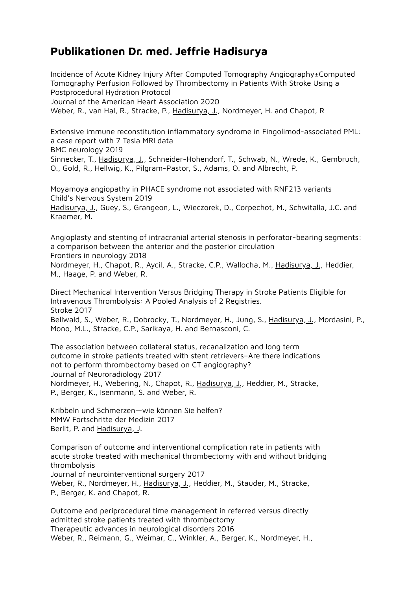## **Publikationen Dr. med. Jeffrie Hadisurya**

Incidence of Acute Kidney Injury After Computed Tomography Angiography±Computed Tomography Perfusion Followed by Thrombectomy in Patients With Stroke Using a Postprocedural Hydration Protocol Journal of the American Heart Association 2020 Weber, R., van Hal, R., Stracke, P., Hadisurya, J., Nordmeyer, H. and Chapot, R

Extensive immune reconstitution inflammatory syndrome in Fingolimod-associated PML: a case report with 7 Tesla MRI data BMC neurology 2019

Sinnecker, T., Hadisurya, J., Schneider-Hohendorf, T., Schwab, N., Wrede, K., Gembruch, O., Gold, R., Hellwig, K., Pilgram-Pastor, S., Adams, O. and Albrecht, P.

Moyamoya angiopathy in PHACE syndrome not associated with RNF213 variants Child's Nervous System 2019

Hadisurya, J., Guey, S., Grangeon, L., Wieczorek, D., Corpechot, M., Schwitalla, J.C. and Kraemer, M.

Angioplasty and stenting of intracranial arterial stenosis in perforator-bearing segments: a comparison between the anterior and the posterior circulation Frontiers in neurology 2018 Nordmeyer, H., Chapot, R., Aycil, A., Stracke, C.P., Wallocha, M., Hadisurya, J., Heddier, M., Haage, P. and Weber, R.

Direct Mechanical Intervention Versus Bridging Therapy in Stroke Patients Eligible for Intravenous Thrombolysis: A Pooled Analysis of 2 Registries.

Stroke 2017 Bellwald, S., Weber, R., Dobrocky, T., Nordmeyer, H., Jung, S., Hadisurya, J., Mordasini, P., Mono, M.L., Stracke, C.P., Sarikaya, H. and Bernasconi, C.

The association between collateral status, recanalization and long term outcome in stroke patients treated with stent retrievers–Are there indications not to perform thrombectomy based on CT angiography? Journal of Neuroradiology 2017 Nordmeyer, H., Webering, N., Chapot, R., Hadisurya, J., Heddier, M., Stracke, P., Berger, K., Isenmann, S. and Weber, R.

Kribbeln und Schmerzen—wie können Sie helfen? MMW Fortschritte der Medizin 2017 Berlit, P. and Hadisurya, J.

Comparison of outcome and interventional complication rate in patients with acute stroke treated with mechanical thrombectomy with and without bridging thrombolysis

Journal of neurointerventional surgery 2017

Weber, R., Nordmeyer, H., Hadisurya, J., Heddier, M., Stauder, M., Stracke, P., Berger, K. and Chapot, R.

Outcome and periprocedural time management in referred versus directly admitted stroke patients treated with thrombectomy Therapeutic advances in neurological disorders 2016 Weber, R., Reimann, G., Weimar, C., Winkler, A., Berger, K., Nordmeyer, H.,